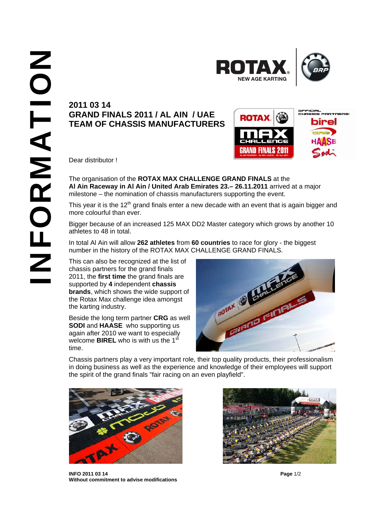



## **GRAND FINALS 2011 / AL AIN / UAE TEAM OF CHASSIS MANUFACTURERS**



Dear distributor !

The organisation of the **ROTAX MAX CHALLENGE GRAND FINALS** at the **Al Ain Raceway in Al Ain / United Arab Emirates 23.– 26.11.2011** arrived at a major milestone – the nomination of chassis manufacturers supporting the event.

This year it is the  $12<sup>th</sup>$  grand finals enter a new decade with an event that is again bigger and more colourful than ever.

Bigger because of an increased 125 MAX DD2 Master category which grows by another 10 athletes to 48 in total.

In total Al Ain will allow **262 athletes** from **60 countries** to race for glory - the biggest number in the history of the ROTAX MAX CHALLENGE GRAND FINALS.

This can also be recognized at the list of chassis partners for the grand finals 2011, the **first time** the grand finals are supported by **4** independent **chassis brands**, which shows the wide support of the Rotax Max challenge idea amongst the karting industry.

Beside the long term partner **CRG** as well **SODI** and **HAASE** who supporting us again after 2010 we want to especially welcome **BIREL** who is with us the 1<sup>st</sup> time.



Chassis partners play a very important role, their top quality products, their professionalism in doing business as well as the experience and knowledge of their employees will support the spirit of the grand finals "fair racing on an even playfield".



**INFO 2011 03 14 Page** 1/2 **Without commitment to advise modifications**